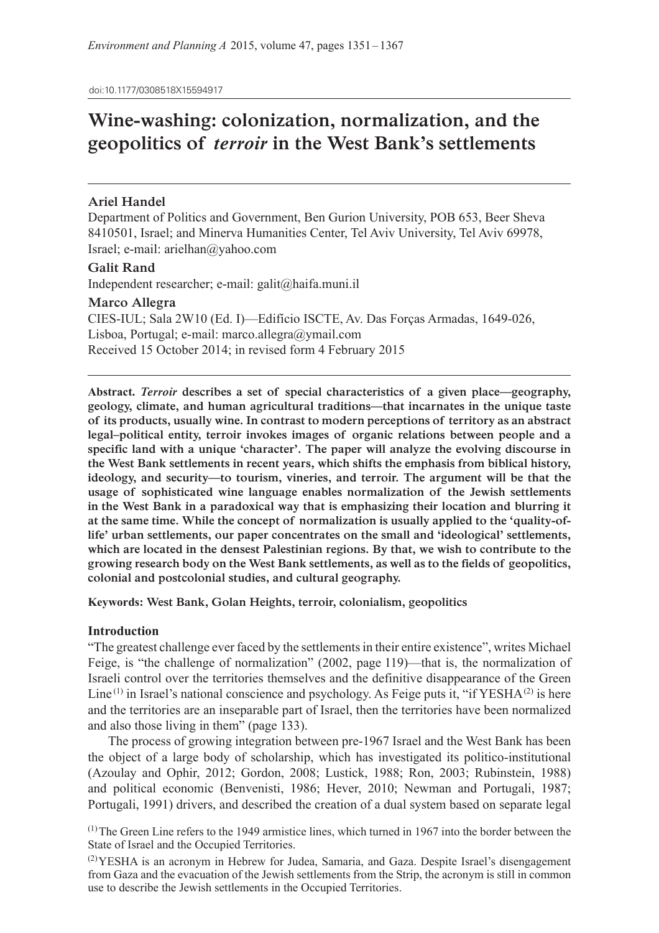doi:10.1177/0308518X15594917

# **Wine-washing: colonization, normalization, and the geopolitics of** *terroir* **in the West Bank's settlements**

# **Ariel Handel**

Department of Politics and Government, Ben Gurion University, POB 653, Beer Sheva 8410501, Israel; and Minerva Humanities Center, Tel Aviv University, Tel Aviv 69978, Israel; e-mail: arielhan@yahoo.com

# **Galit Rand**

Independent researcher; e-mail: galit@haifa.muni.il

# **Marco Allegra**

CIES-IUL; Sala 2W10 (Ed. I)—Edifício ISCTE, Av. Das Forças Armadas, 1649-026, Lisboa, Portugal; e-mail: marco.allegra@ymail.com Received 15 October 2014; in revised form 4 February 2015

**Abstract.** *Terroir* **describes a set of special characteristics of a given place—geography, geology, climate, and human agricultural traditions—that incarnates in the unique taste of its products, usually wine. In contrast to modern perceptions of territory as an abstract legal–political entity, terroir invokes images of organic relations between people and a specific land with a unique 'character'. The paper will analyze the evolving discourse in the West Bank settlements in recent years, which shifts the emphasis from biblical history, ideology, and security—to tourism, vineries, and terroir. The argument will be that the usage of sophisticated wine language enables normalization of the Jewish settlements in the West Bank in a paradoxical way that is emphasizing their location and blurring it at the same time. While the concept of normalization is usually applied to the 'quality-oflife' urban settlements, our paper concentrates on the small and 'ideological' settlements, which are located in the densest Palestinian regions. By that, we wish to contribute to the growing research body on the West Bank settlements, as well as to the fields of geopolitics, colonial and postcolonial studies, and cultural geography.**

**Keywords: West Bank, Golan Heights, terroir, colonialism, geopolitics**

# **Introduction**

"The greatest challenge ever faced by the settlements in their entire existence", writes Michael Feige, is "the challenge of normalization" (2002, page 119)—that is, the normalization of Israeli control over the territories themselves and the definitive disappearance of the Green Line<sup>(1)</sup> in Israel's national conscience and psychology. As Feige puts it, "if  $YESHA<sup>(2)</sup>$  is here and the territories are an inseparable part of Israel, then the territories have been normalized and also those living in them" (page 133).

The process of growing integration between pre-1967 Israel and the West Bank has been the object of a large body of scholarship, which has investigated its politico-institutional (Azoulay and Ophir, 2012; Gordon, 2008; Lustick, 1988; Ron, 2003; Rubinstein, 1988) and political economic (Benvenisti, 1986; Hever, 2010; Newman and Portugali, 1987; Portugali, 1991) drivers, and described the creation of a dual system based on separate legal

 $<sup>(1)</sup>$ The Green Line refers to the 1949 armistice lines, which turned in 1967 into the border between the</sup> State of Israel and the Occupied Territories.

(2)YESHA is an acronym in Hebrew for Judea, Samaria, and Gaza. Despite Israel's disengagement from Gaza and the evacuation of the Jewish settlements from the Strip, the acronym is still in common use to describe the Jewish settlements in the Occupied Territories.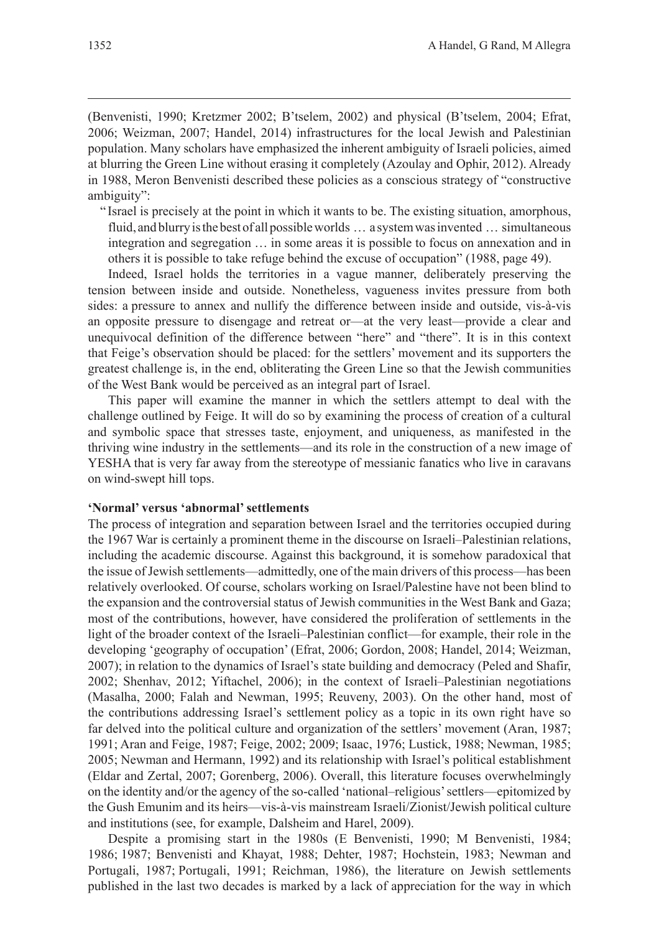(Benvenisti, 1990; Kretzmer 2002; B'tselem, 2002) and physical (B'tselem, 2004; Efrat, 2006; Weizman, 2007; Handel, 2014) infrastructures for the local Jewish and Palestinian population. Many scholars have emphasized the inherent ambiguity of Israeli policies, aimed at blurring the Green Line without erasing it completely (Azoulay and Ophir, 2012). Already in 1988, Meron Benvenisti described these policies as a conscious strategy of "constructive ambiguity":

" Israel is precisely at the point in which it wants to be. The existing situation, amorphous, fluid, and blurry is the best of all possible worlds … a system was invented … simultaneous integration and segregation … in some areas it is possible to focus on annexation and in others it is possible to take refuge behind the excuse of occupation" (1988, page 49).

Indeed, Israel holds the territories in a vague manner, deliberately preserving the tension between inside and outside. Nonetheless, vagueness invites pressure from both sides: a pressure to annex and nullify the difference between inside and outside, vis-à-vis an opposite pressure to disengage and retreat or—at the very least—provide a clear and unequivocal definition of the difference between "here" and "there". It is in this context that Feige's observation should be placed: for the settlers' movement and its supporters the greatest challenge is, in the end, obliterating the Green Line so that the Jewish communities of the West Bank would be perceived as an integral part of Israel.

This paper will examine the manner in which the settlers attempt to deal with the challenge outlined by Feige. It will do so by examining the process of creation of a cultural and symbolic space that stresses taste, enjoyment, and uniqueness, as manifested in the thriving wine industry in the settlements—and its role in the construction of a new image of YESHA that is very far away from the stereotype of messianic fanatics who live in caravans on wind-swept hill tops.

#### **'Normal' versus 'abnormal' settlements**

The process of integration and separation between Israel and the territories occupied during the 1967 War is certainly a prominent theme in the discourse on Israeli–Palestinian relations, including the academic discourse. Against this background, it is somehow paradoxical that the issue of Jewish settlements—admittedly, one of the main drivers of this process—has been relatively overlooked. Of course, scholars working on Israel/Palestine have not been blind to the expansion and the controversial status of Jewish communities in the West Bank and Gaza; most of the contributions, however, have considered the proliferation of settlements in the light of the broader context of the Israeli–Palestinian conflict—for example, their role in the developing 'geography of occupation' (Efrat, 2006; Gordon, 2008; Handel, 2014; Weizman, 2007); in relation to the dynamics of Israel's state building and democracy (Peled and Shafir, 2002; Shenhav, 2012; Yiftachel, 2006); in the context of Israeli–Palestinian negotiations (Masalha, 2000; Falah and Newman, 1995; Reuveny, 2003). On the other hand, most of the contributions addressing Israel's settlement policy as a topic in its own right have so far delved into the political culture and organization of the settlers' movement (Aran, 1987; 1991; Aran and Feige, 1987; Feige, 2002; 2009; Isaac, 1976; Lustick, 1988; Newman, 1985; 2005; Newman and Hermann, 1992) and its relationship with Israel's political establishment (Eldar and Zertal, 2007; Gorenberg, 2006). Overall, this literature focuses overwhelmingly on the identity and/or the agency of the so-called 'national–religious' settlers—epitomized by the Gush Emunim and its heirs—vis-à-vis mainstream Israeli/Zionist/Jewish political culture and institutions (see, for example, Dalsheim and Harel, 2009).

Despite a promising start in the 1980s (E Benvenisti, 1990; M Benvenisti, 1984; 1986; 1987; Benvenisti and Khayat, 1988; Dehter, 1987; Hochstein, 1983; Newman and Portugali, 1987; Portugali, 1991; Reichman, 1986), the literature on Jewish settlements published in the last two decades is marked by a lack of appreciation for the way in which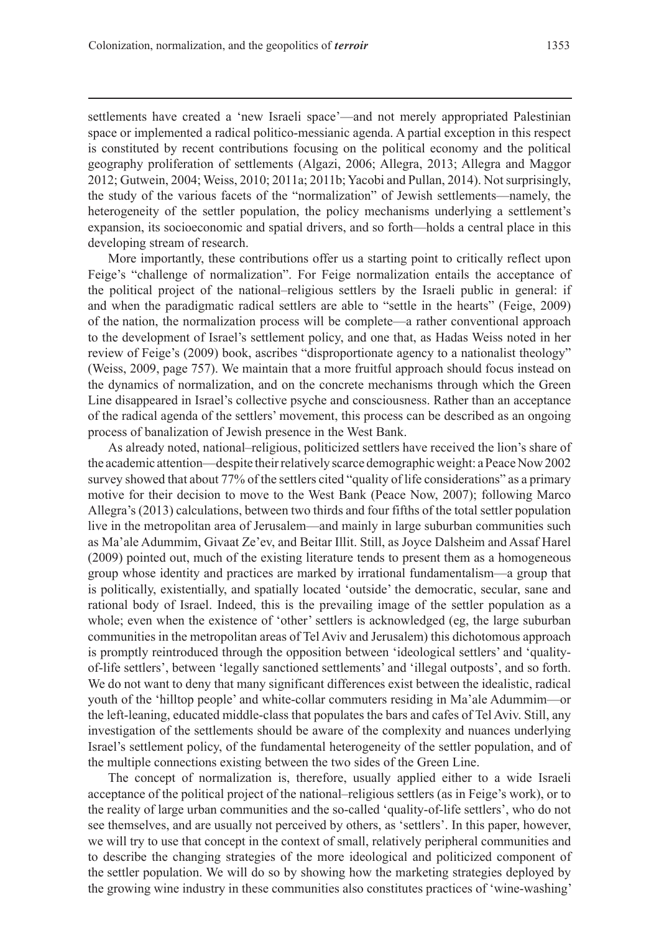settlements have created a 'new Israeli space'—and not merely appropriated Palestinian space or implemented a radical politico-messianic agenda. A partial exception in this respect is constituted by recent contributions focusing on the political economy and the political geography proliferation of settlements (Algazi, 2006; Allegra, 2013; Allegra and Maggor 2012; Gutwein, 2004; Weiss, 2010; 2011a; 2011b; Yacobi and Pullan, 2014). Not surprisingly, the study of the various facets of the "normalization" of Jewish settlements—namely, the heterogeneity of the settler population, the policy mechanisms underlying a settlement's expansion, its socioeconomic and spatial drivers, and so forth—holds a central place in this developing stream of research.

More importantly, these contributions offer us a starting point to critically reflect upon Feige's "challenge of normalization". For Feige normalization entails the acceptance of the political project of the national–religious settlers by the Israeli public in general: if and when the paradigmatic radical settlers are able to "settle in the hearts" (Feige, 2009) of the nation, the normalization process will be complete—a rather conventional approach to the development of Israel's settlement policy, and one that, as Hadas Weiss noted in her review of Feige's (2009) book, ascribes "disproportionate agency to a nationalist theology" (Weiss, 2009, page 757). We maintain that a more fruitful approach should focus instead on the dynamics of normalization, and on the concrete mechanisms through which the Green Line disappeared in Israel's collective psyche and consciousness. Rather than an acceptance of the radical agenda of the settlers' movement, this process can be described as an ongoing process of banalization of Jewish presence in the West Bank.

As already noted, national–religious, politicized settlers have received the lion's share of the academic attention—despite their relatively scarce demographic weight: a Peace Now 2002 survey showed that about 77% of the settlers cited "quality of life considerations" as a primary motive for their decision to move to the West Bank (Peace Now, 2007); following Marco Allegra's (2013) calculations, between two thirds and four fifths of the total settler population live in the metropolitan area of Jerusalem—and mainly in large suburban communities such as Ma'ale Adummim, Givaat Ze'ev, and Beitar Illit. Still, as Joyce Dalsheim and Assaf Harel (2009) pointed out, much of the existing literature tends to present them as a homogeneous group whose identity and practices are marked by irrational fundamentalism—a group that is politically, existentially, and spatially located 'outside' the democratic, secular, sane and rational body of Israel. Indeed, this is the prevailing image of the settler population as a whole; even when the existence of 'other' settlers is acknowledged (eg, the large suburban communities in the metropolitan areas of Tel Aviv and Jerusalem) this dichotomous approach is promptly reintroduced through the opposition between 'ideological settlers' and 'qualityof-life settlers', between 'legally sanctioned settlements' and 'illegal outposts', and so forth. We do not want to deny that many significant differences exist between the idealistic, radical youth of the 'hilltop people' and white-collar commuters residing in Ma'ale Adummim—or the left-leaning, educated middle-class that populates the bars and cafes of Tel Aviv. Still, any investigation of the settlements should be aware of the complexity and nuances underlying Israel's settlement policy, of the fundamental heterogeneity of the settler population, and of the multiple connections existing between the two sides of the Green Line.

The concept of normalization is, therefore, usually applied either to a wide Israeli acceptance of the political project of the national–religious settlers (as in Feige's work), or to the reality of large urban communities and the so-called 'quality-of-life settlers', who do not see themselves, and are usually not perceived by others, as 'settlers'. In this paper, however, we will try to use that concept in the context of small, relatively peripheral communities and to describe the changing strategies of the more ideological and politicized component of the settler population. We will do so by showing how the marketing strategies deployed by the growing wine industry in these communities also constitutes practices of 'wine-washing'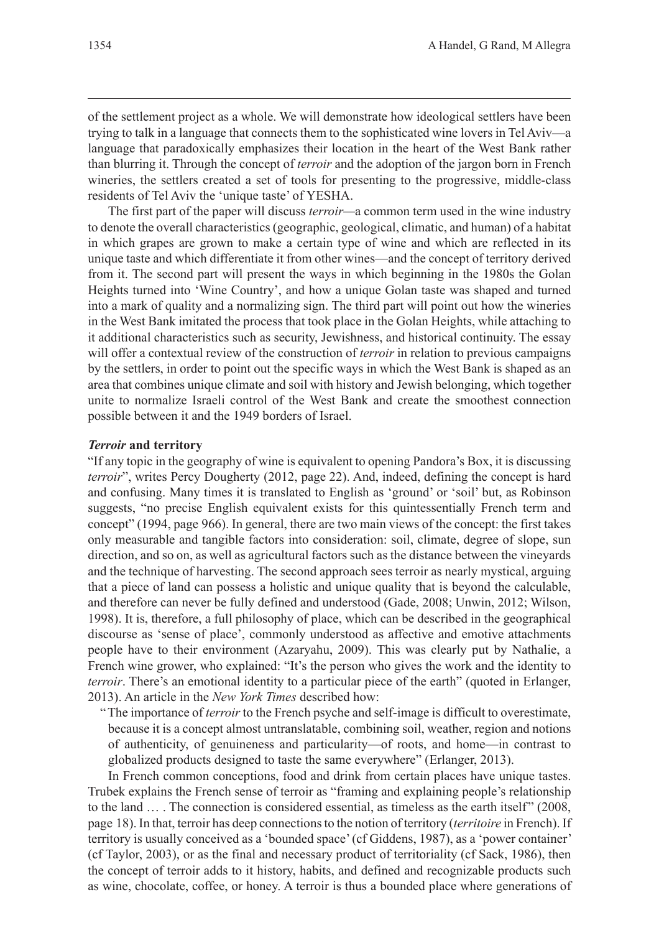of the settlement project as a whole. We will demonstrate how ideological settlers have been trying to talk in a language that connects them to the sophisticated wine lovers in Tel Aviv—a language that paradoxically emphasizes their location in the heart of the West Bank rather than blurring it. Through the concept of *terroir* and the adoption of the jargon born in French wineries, the settlers created a set of tools for presenting to the progressive, middle-class residents of Tel Aviv the 'unique taste' of YESHA.

The first part of the paper will discuss *terroir—*a common term used in the wine industry to denote the overall characteristics (geographic, geological, climatic, and human) of a habitat in which grapes are grown to make a certain type of wine and which are reflected in its unique taste and which differentiate it from other wines—and the concept of territory derived from it. The second part will present the ways in which beginning in the 1980s the Golan Heights turned into 'Wine Country', and how a unique Golan taste was shaped and turned into a mark of quality and a normalizing sign. The third part will point out how the wineries in the West Bank imitated the process that took place in the Golan Heights, while attaching to it additional characteristics such as security, Jewishness, and historical continuity. The essay will offer a contextual review of the construction of *terroir* in relation to previous campaigns by the settlers, in order to point out the specific ways in which the West Bank is shaped as an area that combines unique climate and soil with history and Jewish belonging, which together unite to normalize Israeli control of the West Bank and create the smoothest connection possible between it and the 1949 borders of Israel.

#### *Terroir* **and territory**

"If any topic in the geography of wine is equivalent to opening Pandora's Box, it is discussing *terroir*", writes Percy Dougherty (2012, page 22). And, indeed, defining the concept is hard and confusing. Many times it is translated to English as 'ground' or 'soil' but, as Robinson suggests, "no precise English equivalent exists for this quintessentially French term and concept" (1994, page 966). In general, there are two main views of the concept: the first takes only measurable and tangible factors into consideration: soil, climate, degree of slope, sun direction, and so on, as well as agricultural factors such as the distance between the vineyards and the technique of harvesting. The second approach sees terroir as nearly mystical, arguing that a piece of land can possess a holistic and unique quality that is beyond the calculable, and therefore can never be fully defined and understood (Gade, 2008; Unwin, 2012; Wilson, 1998). It is, therefore, a full philosophy of place, which can be described in the geographical discourse as 'sense of place', commonly understood as affective and emotive attachments people have to their environment (Azaryahu, 2009). This was clearly put by Nathalie, a French wine grower, who explained: "It's the person who gives the work and the identity to *terroir*. There's an emotional identity to a particular piece of the earth" (quoted in Erlanger, 2013). An article in the *New York Times* described how:

"The importance of *terroir* to the French psyche and self-image is difficult to overestimate, because it is a concept almost untranslatable, combining soil, weather, region and notions of authenticity, of genuineness and particularity—of roots, and home—in contrast to globalized products designed to taste the same everywhere" (Erlanger, 2013).

In French common conceptions, food and drink from certain places have unique tastes. Trubek explains the French sense of terroir as "framing and explaining people's relationship to the land ... . The connection is considered essential, as timeless as the earth itself" (2008, page 18). In that, terroir has deep connections to the notion of territory (*territoire* in French). If territory is usually conceived as a 'bounded space' (cf Giddens, 1987), as a 'power container' (cf Taylor, 2003), or as the final and necessary product of territoriality (cf Sack, 1986), then the concept of terroir adds to it history, habits, and defined and recognizable products such as wine, chocolate, coffee, or honey. A terroir is thus a bounded place where generations of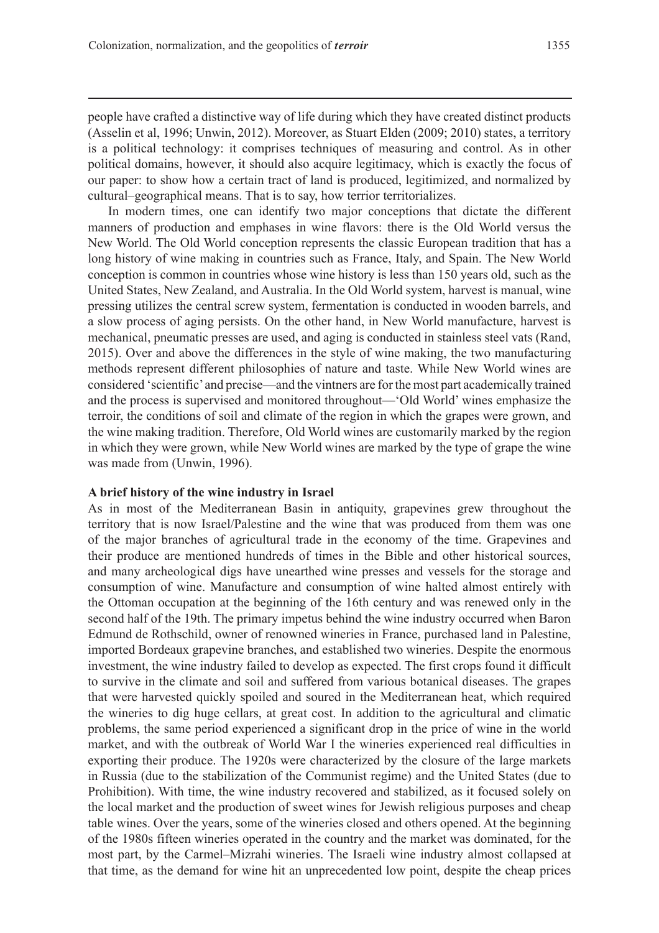people have crafted a distinctive way of life during which they have created distinct products (Asselin et al, 1996; Unwin, 2012). Moreover, as Stuart Elden (2009; 2010) states, a territory is a political technology: it comprises techniques of measuring and control. As in other political domains, however, it should also acquire legitimacy, which is exactly the focus of our paper: to show how a certain tract of land is produced, legitimized, and normalized by cultural–geographical means. That is to say, how terrior territorializes.

In modern times, one can identify two major conceptions that dictate the different manners of production and emphases in wine flavors: there is the Old World versus the New World. The Old World conception represents the classic European tradition that has a long history of wine making in countries such as France, Italy, and Spain. The New World conception is common in countries whose wine history is less than 150 years old, such as the United States, New Zealand, and Australia. In the Old World system, harvest is manual, wine pressing utilizes the central screw system, fermentation is conducted in wooden barrels, and a slow process of aging persists. On the other hand, in New World manufacture, harvest is mechanical, pneumatic presses are used, and aging is conducted in stainless steel vats (Rand, 2015). Over and above the differences in the style of wine making, the two manufacturing methods represent different philosophies of nature and taste. While New World wines are considered 'scientific' and precise—and the vintners are for the most part academically trained and the process is supervised and monitored throughout—'Old World' wines emphasize the terroir, the conditions of soil and climate of the region in which the grapes were grown, and the wine making tradition. Therefore, Old World wines are customarily marked by the region in which they were grown, while New World wines are marked by the type of grape the wine was made from (Unwin, 1996).

#### **A brief history of the wine industry in Israel**

As in most of the Mediterranean Basin in antiquity, grapevines grew throughout the territory that is now Israel/Palestine and the wine that was produced from them was one of the major branches of agricultural trade in the economy of the time. Grapevines and their produce are mentioned hundreds of times in the Bible and other historical sources, and many archeological digs have unearthed wine presses and vessels for the storage and consumption of wine. Manufacture and consumption of wine halted almost entirely with the Ottoman occupation at the beginning of the 16th century and was renewed only in the second half of the 19th. The primary impetus behind the wine industry occurred when Baron Edmund de Rothschild, owner of renowned wineries in France, purchased land in Palestine, imported Bordeaux grapevine branches, and established two wineries. Despite the enormous investment, the wine industry failed to develop as expected. The first crops found it difficult to survive in the climate and soil and suffered from various botanical diseases. The grapes that were harvested quickly spoiled and soured in the Mediterranean heat, which required the wineries to dig huge cellars, at great cost. In addition to the agricultural and climatic problems, the same period experienced a significant drop in the price of wine in the world market, and with the outbreak of World War I the wineries experienced real difficulties in exporting their produce. The 1920s were characterized by the closure of the large markets in Russia (due to the stabilization of the Communist regime) and the United States (due to Prohibition). With time, the wine industry recovered and stabilized, as it focused solely on the local market and the production of sweet wines for Jewish religious purposes and cheap table wines. Over the years, some of the wineries closed and others opened. At the beginning of the 1980s fifteen wineries operated in the country and the market was dominated, for the most part, by the Carmel–Mizrahi wineries. The Israeli wine industry almost collapsed at that time, as the demand for wine hit an unprecedented low point, despite the cheap prices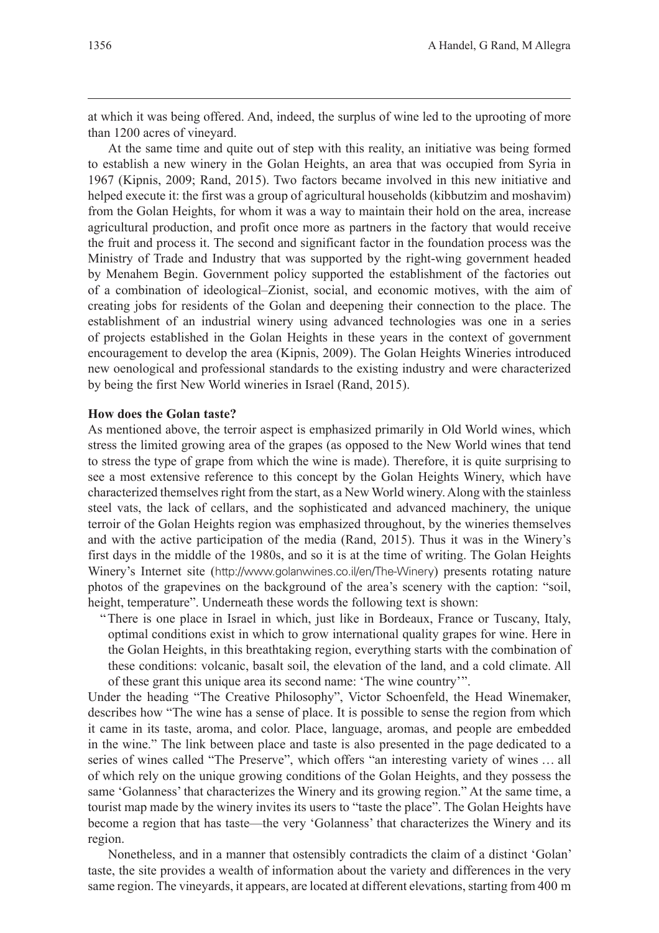at which it was being offered. And, indeed, the surplus of wine led to the uprooting of more than 1200 acres of vineyard.

At the same time and quite out of step with this reality, an initiative was being formed to establish a new winery in the Golan Heights, an area that was occupied from Syria in 1967 (Kipnis, 2009; Rand, 2015). Two factors became involved in this new initiative and helped execute it: the first was a group of agricultural households (kibbutzim and moshavim) from the Golan Heights, for whom it was a way to maintain their hold on the area, increase agricultural production, and profit once more as partners in the factory that would receive the fruit and process it. The second and significant factor in the foundation process was the Ministry of Trade and Industry that was supported by the right-wing government headed by Menahem Begin. Government policy supported the establishment of the factories out of a combination of ideological–Zionist, social, and economic motives, with the aim of creating jobs for residents of the Golan and deepening their connection to the place. The establishment of an industrial winery using advanced technologies was one in a series of projects established in the Golan Heights in these years in the context of government encouragement to develop the area (Kipnis, 2009). The Golan Heights Wineries introduced new oenological and professional standards to the existing industry and were characterized by being the first New World wineries in Israel (Rand, 2015).

# **How does the Golan taste?**

As mentioned above, the terroir aspect is emphasized primarily in Old World wines, which stress the limited growing area of the grapes (as opposed to the New World wines that tend to stress the type of grape from which the wine is made). Therefore, it is quite surprising to see a most extensive reference to this concept by the Golan Heights Winery, which have characterized themselves right from the start, as a New World winery. Along with the stainless steel vats, the lack of cellars, and the sophisticated and advanced machinery, the unique terroir of the Golan Heights region was emphasized throughout, by the wineries themselves and with the active participation of the media (Rand, 2015). Thus it was in the Winery's first days in the middle of the 1980s, and so it is at the time of writing. The Golan Heights Winery's Internet site (http://www.golanwines.co.il/en/The-Winery) presents rotating nature photos of the grapevines on the background of the area's scenery with the caption: "soil, height, temperature". Underneath these words the following text is shown:

"There is one place in Israel in which, just like in Bordeaux, France or Tuscany, Italy, optimal conditions exist in which to grow international quality grapes for wine. Here in the Golan Heights, in this breathtaking region, everything starts with the combination of these conditions: volcanic, basalt soil, the elevation of the land, and a cold climate. All of these grant this unique area its second name: 'The wine country'".

Under the heading "The Creative Philosophy", Victor Schoenfeld, the Head Winemaker, describes how "The wine has a sense of place. It is possible to sense the region from which it came in its taste, aroma, and color. Place, language, aromas, and people are embedded in the wine." The link between place and taste is also presented in the page dedicated to a series of wines called "The Preserve", which offers "an interesting variety of wines … all of which rely on the unique growing conditions of the Golan Heights, and they possess the same 'Golanness' that characterizes the Winery and its growing region." At the same time, a tourist map made by the winery invites its users to "taste the place". The Golan Heights have become a region that has taste—the very 'Golanness' that characterizes the Winery and its region.

Nonetheless, and in a manner that ostensibly contradicts the claim of a distinct 'Golan' taste, the site provides a wealth of information about the variety and differences in the very same region. The vineyards, it appears, are located at different elevations, starting from 400 m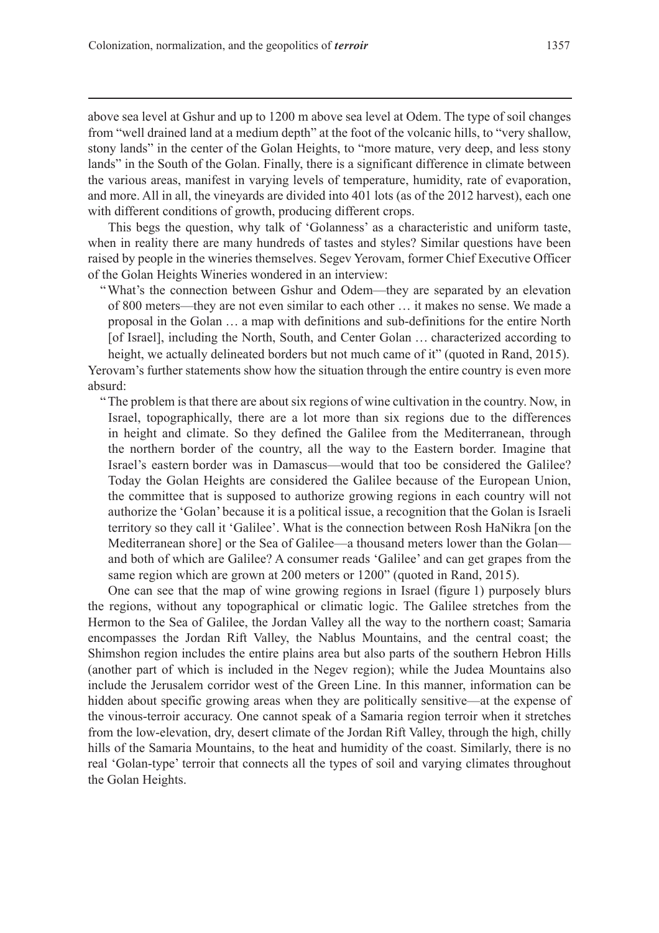above sea level at Gshur and up to 1200 m above sea level at Odem. The type of soil changes from "well drained land at a medium depth" at the foot of the volcanic hills, to "very shallow, stony lands" in the center of the Golan Heights, to "more mature, very deep, and less stony lands" in the South of the Golan. Finally, there is a significant difference in climate between the various areas, manifest in varying levels of temperature, humidity, rate of evaporation, and more. All in all, the vineyards are divided into 401 lots (as of the 2012 harvest), each one with different conditions of growth, producing different crops.

This begs the question, why talk of 'Golanness' as a characteristic and uniform taste, when in reality there are many hundreds of tastes and styles? Similar questions have been raised by people in the wineries themselves. Segev Yerovam, former Chief Executive Officer of the Golan Heights Wineries wondered in an interview:

"What's the connection between Gshur and Odem—they are separated by an elevation of 800 meters—they are not even similar to each other … it makes no sense. We made a proposal in the Golan … a map with definitions and sub-definitions for the entire North [of Israel], including the North, South, and Center Golan … characterized according to height, we actually delineated borders but not much came of it" (quoted in Rand, 2015).

Yerovam's further statements show how the situation through the entire country is even more absurd:

"The problem is that there are about six regions of wine cultivation in the country. Now, in Israel, topographically, there are a lot more than six regions due to the differences in height and climate. So they defined the Galilee from the Mediterranean, through the northern border of the country, all the way to the Eastern border. Imagine that Israel's eastern border was in Damascus—would that too be considered the Galilee? Today the Golan Heights are considered the Galilee because of the European Union, the committee that is supposed to authorize growing regions in each country will not authorize the 'Golan' because it is a political issue, a recognition that the Golan is Israeli territory so they call it 'Galilee'. What is the connection between Rosh HaNikra [on the Mediterranean shore] or the Sea of Galilee—a thousand meters lower than the Golan and both of which are Galilee? A consumer reads 'Galilee' and can get grapes from the same region which are grown at 200 meters or 1200" (quoted in Rand, 2015).

One can see that the map of wine growing regions in Israel (figure 1) purposely blurs the regions, without any topographical or climatic logic. The Galilee stretches from the Hermon to the Sea of Galilee, the Jordan Valley all the way to the northern coast; Samaria encompasses the Jordan Rift Valley, the Nablus Mountains, and the central coast; the Shimshon region includes the entire plains area but also parts of the southern Hebron Hills (another part of which is included in the Negev region); while the Judea Mountains also include the Jerusalem corridor west of the Green Line. In this manner, information can be hidden about specific growing areas when they are politically sensitive—at the expense of the vinous-terroir accuracy. One cannot speak of a Samaria region terroir when it stretches from the low-elevation, dry, desert climate of the Jordan Rift Valley, through the high, chilly hills of the Samaria Mountains, to the heat and humidity of the coast. Similarly, there is no real 'Golan-type' terroir that connects all the types of soil and varying climates throughout the Golan Heights.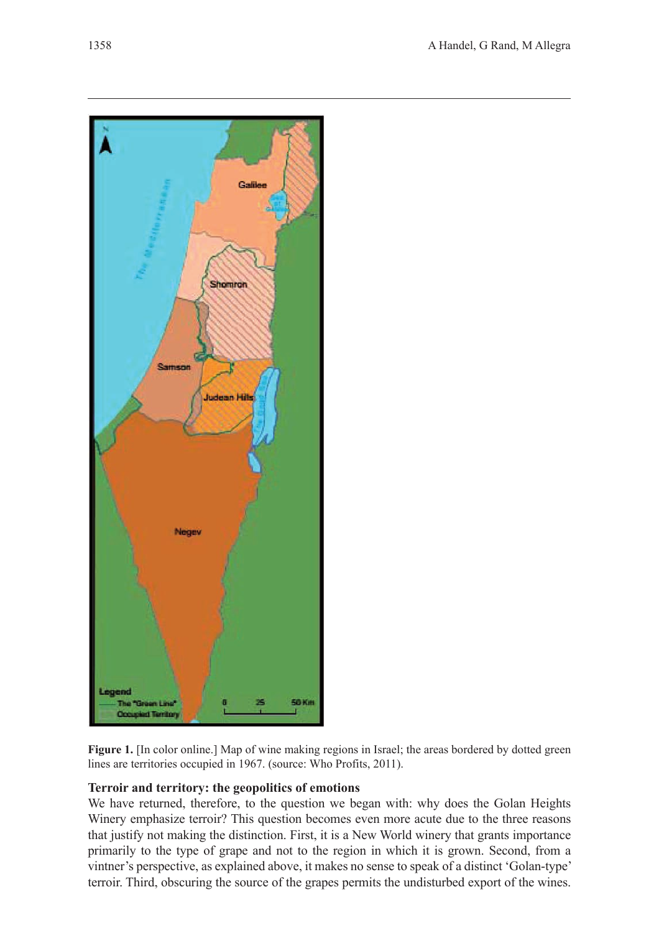

**Figure 1.** [In color online.] Map of wine making regions in Israel; the areas bordered by dotted green lines are territories occupied in 1967. (source: Who Profits, 2011).

# **Terroir and territory: the geopolitics of emotions**

We have returned, therefore, to the question we began with: why does the Golan Heights Winery emphasize terroir? This question becomes even more acute due to the three reasons that justify not making the distinction. First, it is a New World winery that grants importance primarily to the type of grape and not to the region in which it is grown. Second, from a vintner's perspective, as explained above, it makes no sense to speak of a distinct 'Golan-type' terroir. Third, obscuring the source of the grapes permits the undisturbed export of the wines.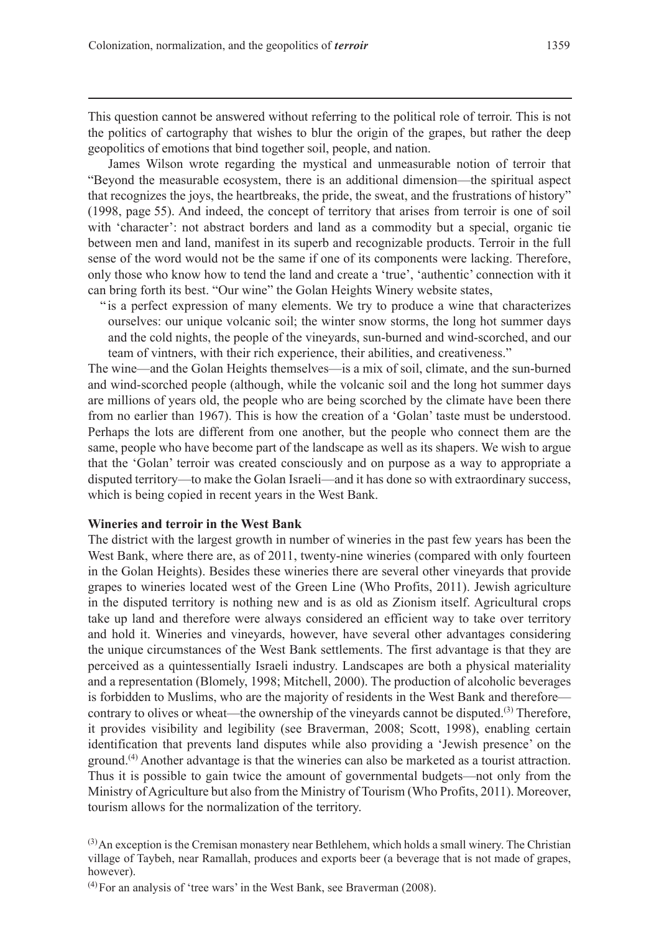This question cannot be answered without referring to the political role of terroir. This is not the politics of cartography that wishes to blur the origin of the grapes, but rather the deep geopolitics of emotions that bind together soil, people, and nation.

James Wilson wrote regarding the mystical and unmeasurable notion of terroir that "Beyond the measurable ecosystem, there is an additional dimension—the spiritual aspect that recognizes the joys, the heartbreaks, the pride, the sweat, and the frustrations of history" (1998, page 55). And indeed, the concept of territory that arises from terroir is one of soil with 'character': not abstract borders and land as a commodity but a special, organic tie between men and land, manifest in its superb and recognizable products. Terroir in the full sense of the word would not be the same if one of its components were lacking. Therefore, only those who know how to tend the land and create a 'true', 'authentic' connection with it can bring forth its best. "Our wine" the Golan Heights Winery website states,

" is a perfect expression of many elements. We try to produce a wine that characterizes ourselves: our unique volcanic soil; the winter snow storms, the long hot summer days and the cold nights, the people of the vineyards, sun-burned and wind-scorched, and our team of vintners, with their rich experience, their abilities, and creativeness."

The wine—and the Golan Heights themselves—is a mix of soil, climate, and the sun-burned and wind-scorched people (although, while the volcanic soil and the long hot summer days are millions of years old, the people who are being scorched by the climate have been there from no earlier than 1967). This is how the creation of a 'Golan' taste must be understood. Perhaps the lots are different from one another, but the people who connect them are the same, people who have become part of the landscape as well as its shapers. We wish to argue that the 'Golan' terroir was created consciously and on purpose as a way to appropriate a disputed territory—to make the Golan Israeli—and it has done so with extraordinary success, which is being copied in recent years in the West Bank.

### **Wineries and terroir in the West Bank**

The district with the largest growth in number of wineries in the past few years has been the West Bank, where there are, as of 2011, twenty-nine wineries (compared with only fourteen in the Golan Heights). Besides these wineries there are several other vineyards that provide grapes to wineries located west of the Green Line (Who Profits, 2011). Jewish agriculture in the disputed territory is nothing new and is as old as Zionism itself. Agricultural crops take up land and therefore were always considered an efficient way to take over territory and hold it. Wineries and vineyards, however, have several other advantages considering the unique circumstances of the West Bank settlements. The first advantage is that they are perceived as a quintessentially Israeli industry. Landscapes are both a physical materiality and a representation (Blomely, 1998; Mitchell, 2000). The production of alcoholic beverages is forbidden to Muslims, who are the majority of residents in the West Bank and therefore contrary to olives or wheat—the ownership of the vineyards cannot be disputed.<sup>(3)</sup> Therefore, it provides visibility and legibility (see Braverman, 2008; Scott, 1998), enabling certain identification that prevents land disputes while also providing a 'Jewish presence' on the ground.(4) Another advantage is that the wineries can also be marketed as a tourist attraction. Thus it is possible to gain twice the amount of governmental budgets—not only from the Ministry of Agriculture but also from the Ministry of Tourism (Who Profits, 2011). Moreover, tourism allows for the normalization of the territory.

 $(3)$ An exception is the Cremisan monastery near Bethlehem, which holds a small winery. The Christian village of Taybeh, near Ramallah, produces and exports beer (a beverage that is not made of grapes, however).

 $<sup>(4)</sup>$  For an analysis of 'tree wars' in the West Bank, see Braverman (2008).</sup>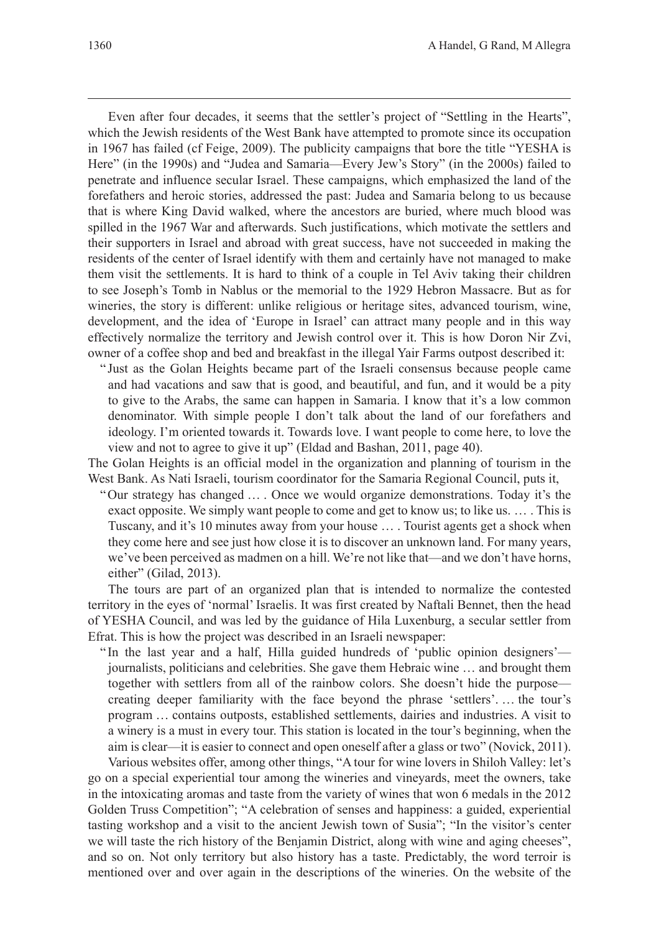Even after four decades, it seems that the settler's project of "Settling in the Hearts", which the Jewish residents of the West Bank have attempted to promote since its occupation in 1967 has failed (cf Feige, 2009). The publicity campaigns that bore the title "YESHA is Here" (in the 1990s) and "Judea and Samaria—Every Jew's Story" (in the 2000s) failed to penetrate and influence secular Israel. These campaigns, which emphasized the land of the forefathers and heroic stories, addressed the past: Judea and Samaria belong to us because that is where King David walked, where the ancestors are buried, where much blood was spilled in the 1967 War and afterwards. Such justifications, which motivate the settlers and their supporters in Israel and abroad with great success, have not succeeded in making the residents of the center of Israel identify with them and certainly have not managed to make them visit the settlements. It is hard to think of a couple in Tel Aviv taking their children to see Joseph's Tomb in Nablus or the memorial to the 1929 Hebron Massacre. But as for wineries, the story is different: unlike religious or heritage sites, advanced tourism, wine, development, and the idea of 'Europe in Israel' can attract many people and in this way effectively normalize the territory and Jewish control over it. This is how Doron Nir Zvi, owner of a coffee shop and bed and breakfast in the illegal Yair Farms outpost described it:

" Just as the Golan Heights became part of the Israeli consensus because people came and had vacations and saw that is good, and beautiful, and fun, and it would be a pity to give to the Arabs, the same can happen in Samaria. I know that it's a low common denominator. With simple people I don't talk about the land of our forefathers and ideology. I'm oriented towards it. Towards love. I want people to come here, to love the view and not to agree to give it up" (Eldad and Bashan, 2011, page 40).

The Golan Heights is an official model in the organization and planning of tourism in the West Bank. As Nati Israeli, tourism coordinator for the Samaria Regional Council, puts it,

"Our strategy has changed … . Once we would organize demonstrations. Today it's the exact opposite. We simply want people to come and get to know us; to like us. … . This is Tuscany, and it's 10 minutes away from your house … . Tourist agents get a shock when they come here and see just how close it is to discover an unknown land. For many years, we've been perceived as madmen on a hill. We're not like that—and we don't have horns, either" (Gilad, 2013).

The tours are part of an organized plan that is intended to normalize the contested territory in the eyes of 'normal' Israelis. It was first created by Naftali Bennet, then the head of YESHA Council, and was led by the guidance of Hila Luxenburg, a secular settler from Efrat. This is how the project was described in an Israeli newspaper:

" In the last year and a half, Hilla guided hundreds of 'public opinion designers' journalists, politicians and celebrities. She gave them Hebraic wine … and brought them together with settlers from all of the rainbow colors. She doesn't hide the purpose creating deeper familiarity with the face beyond the phrase 'settlers'. … the tour's program … contains outposts, established settlements, dairies and industries. A visit to a winery is a must in every tour. This station is located in the tour's beginning, when the aim is clear—it is easier to connect and open oneself after a glass or two" (Novick, 2011).

Various websites offer, among other things, "A tour for wine lovers in Shiloh Valley: let's go on a special experiential tour among the wineries and vineyards, meet the owners, take in the intoxicating aromas and taste from the variety of wines that won 6 medals in the 2012 Golden Truss Competition"; "A celebration of senses and happiness: a guided, experiential tasting workshop and a visit to the ancient Jewish town of Susia"; "In the visitor's center we will taste the rich history of the Benjamin District, along with wine and aging cheeses", and so on. Not only territory but also history has a taste. Predictably, the word terroir is mentioned over and over again in the descriptions of the wineries. On the website of the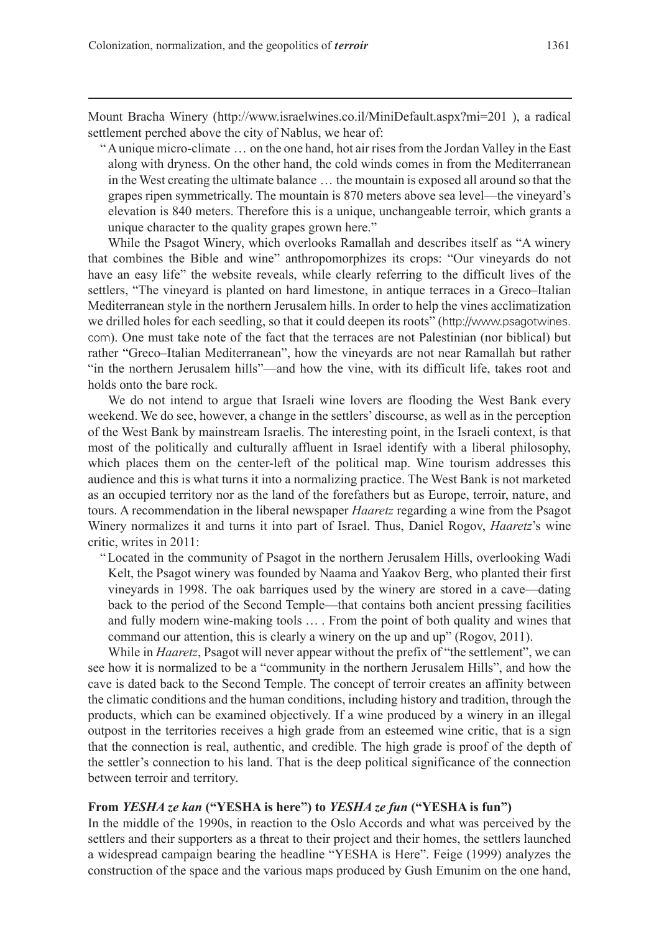Mount Bracha Winery (http://www.israelwines.co.il/MiniDefault.aspx?mi=201 ), a radical settlement perched above the city of Nablus, we hear of:

"A unique micro-climate … on the one hand, hot air rises from the Jordan Valley in the East along with dryness. On the other hand, the cold winds comes in from the Mediterranean in the West creating the ultimate balance … the mountain is exposed all around so that the grapes ripen symmetrically. The mountain is 870 meters above sea level—the vineyard's elevation is 840 meters. Therefore this is a unique, unchangeable terroir, which grants a unique character to the quality grapes grown here."

While the Psagot Winery, which overlooks Ramallah and describes itself as "A winery that combines the Bible and wine" anthropomorphizes its crops: "Our vineyards do not have an easy life" the website reveals, while clearly referring to the difficult lives of the settlers, "The vineyard is planted on hard limestone, in antique terraces in a Greco–Italian Mediterranean style in the northern Jerusalem hills. In order to help the vines acclimatization we drilled holes for each seedling, so that it could deepen its roots" (http://www.psagotwines. com). One must take note of the fact that the terraces are not Palestinian (nor biblical) but rather "Greco–Italian Mediterranean", how the vineyards are not near Ramallah but rather "in the northern Jerusalem hills"—and how the vine, with its difficult life, takes root and holds onto the bare rock.

We do not intend to argue that Israeli wine lovers are flooding the West Bank every weekend. We do see, however, a change in the settlers' discourse, as well as in the perception of the West Bank by mainstream Israelis. The interesting point, in the Israeli context, is that most of the politically and culturally affluent in Israel identify with a liberal philosophy, which places them on the center-left of the political map. Wine tourism addresses this audience and this is what turns it into a normalizing practice. The West Bank is not marketed as an occupied territory nor as the land of the forefathers but as Europe, terroir, nature, and tours. A recommendation in the liberal newspaper *Haaretz* regarding a wine from the Psagot Winery normalizes it and turns it into part of Israel. Thus, Daniel Rogov, *Haaretz*'s wine critic, writes in 2011:

"Located in the community of Psagot in the northern Jerusalem Hills, overlooking Wadi Kelt, the Psagot winery was founded by Naama and Yaakov Berg, who planted their first vineyards in 1998. The oak barriques used by the winery are stored in a cave—dating back to the period of the Second Temple—that contains both ancient pressing facilities and fully modern wine-making tools … . From the point of both quality and wines that command our attention, this is clearly a winery on the up and up" (Rogov, 2011).

While in *Haaretz*, Psagot will never appear without the prefix of "the settlement", we can see how it is normalized to be a "community in the northern Jerusalem Hills", and how the cave is dated back to the Second Temple. The concept of terroir creates an affinity between the climatic conditions and the human conditions, including history and tradition, through the products, which can be examined objectively. If a wine produced by a winery in an illegal outpost in the territories receives a high grade from an esteemed wine critic, that is a sign that the connection is real, authentic, and credible. The high grade is proof of the depth of the settler's connection to his land. That is the deep political significance of the connection between terroir and territory.

# **From** *YESHA ze kan* **("YESHA is here") to** *YESHA ze fun* **("YESHA is fun")**

In the middle of the 1990s, in reaction to the Oslo Accords and what was perceived by the settlers and their supporters as a threat to their project and their homes, the settlers launched a widespread campaign bearing the headline "YESHA is Here". Feige (1999) analyzes the construction of the space and the various maps produced by Gush Emunim on the one hand,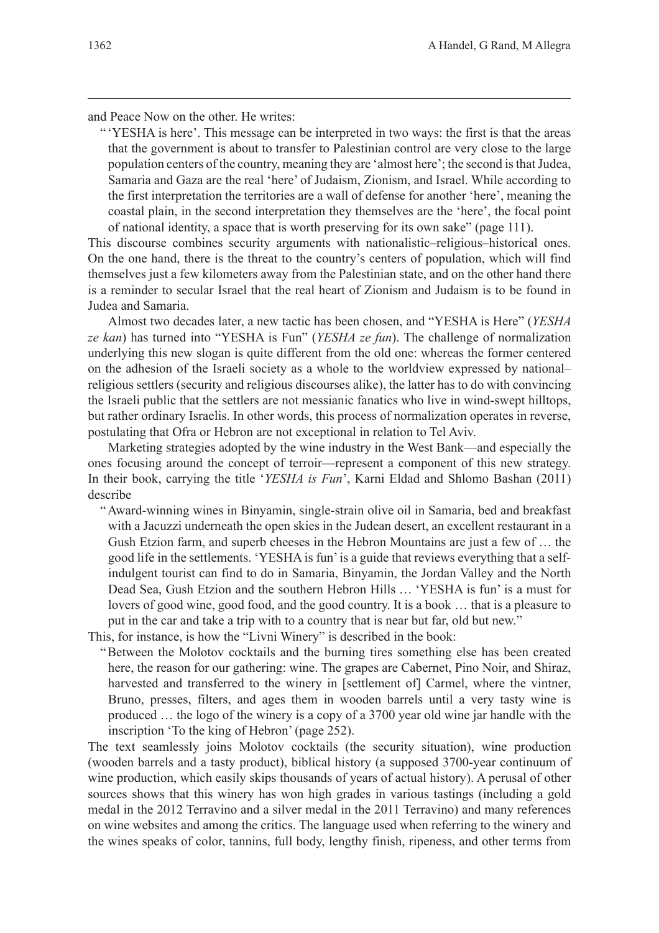and Peace Now on the other. He writes:

" 'YESHA is here'. This message can be interpreted in two ways: the first is that the areas that the government is about to transfer to Palestinian control are very close to the large population centers of the country, meaning they are 'almost here'; the second is that Judea, Samaria and Gaza are the real 'here' of Judaism, Zionism, and Israel. While according to the first interpretation the territories are a wall of defense for another 'here', meaning the coastal plain, in the second interpretation they themselves are the 'here', the focal point of national identity, a space that is worth preserving for its own sake" (page 111).

This discourse combines security arguments with nationalistic–religious–historical ones. On the one hand, there is the threat to the country's centers of population, which will find themselves just a few kilometers away from the Palestinian state, and on the other hand there is a reminder to secular Israel that the real heart of Zionism and Judaism is to be found in Judea and Samaria.

Almost two decades later, a new tactic has been chosen, and "YESHA is Here" (*YESHA ze kan*) has turned into "YESHA is Fun" (*YESHA ze fun*). The challenge of normalization underlying this new slogan is quite different from the old one: whereas the former centered on the adhesion of the Israeli society as a whole to the worldview expressed by national– religious settlers (security and religious discourses alike), the latter has to do with convincing the Israeli public that the settlers are not messianic fanatics who live in wind-swept hilltops, but rather ordinary Israelis. In other words, this process of normalization operates in reverse, postulating that Ofra or Hebron are not exceptional in relation to Tel Aviv.

Marketing strategies adopted by the wine industry in the West Bank—and especially the ones focusing around the concept of terroir—represent a component of this new strategy. In their book, carrying the title '*YESHA is Fun*', Karni Eldad and Shlomo Bashan (2011) describe

"Award-winning wines in Binyamin, single-strain olive oil in Samaria, bed and breakfast with a Jacuzzi underneath the open skies in the Judean desert, an excellent restaurant in a Gush Etzion farm, and superb cheeses in the Hebron Mountains are just a few of … the good life in the settlements. 'YESHA is fun' is a guide that reviews everything that a selfindulgent tourist can find to do in Samaria, Binyamin, the Jordan Valley and the North Dead Sea, Gush Etzion and the southern Hebron Hills … 'YESHA is fun' is a must for lovers of good wine, good food, and the good country. It is a book … that is a pleasure to put in the car and take a trip with to a country that is near but far, old but new."

This, for instance, is how the "Livni Winery" is described in the book:

"Between the Molotov cocktails and the burning tires something else has been created here, the reason for our gathering: wine. The grapes are Cabernet, Pino Noir, and Shiraz, harvested and transferred to the winery in [settlement of] Carmel, where the vintner, Bruno, presses, filters, and ages them in wooden barrels until a very tasty wine is produced … the logo of the winery is a copy of a 3700 year old wine jar handle with the inscription 'To the king of Hebron' (page 252).

The text seamlessly joins Molotov cocktails (the security situation), wine production (wooden barrels and a tasty product), biblical history (a supposed 3700-year continuum of wine production, which easily skips thousands of years of actual history). A perusal of other sources shows that this winery has won high grades in various tastings (including a gold medal in the 2012 Terravino and a silver medal in the 2011 Terravino) and many references on wine websites and among the critics. The language used when referring to the winery and the wines speaks of color, tannins, full body, lengthy finish, ripeness, and other terms from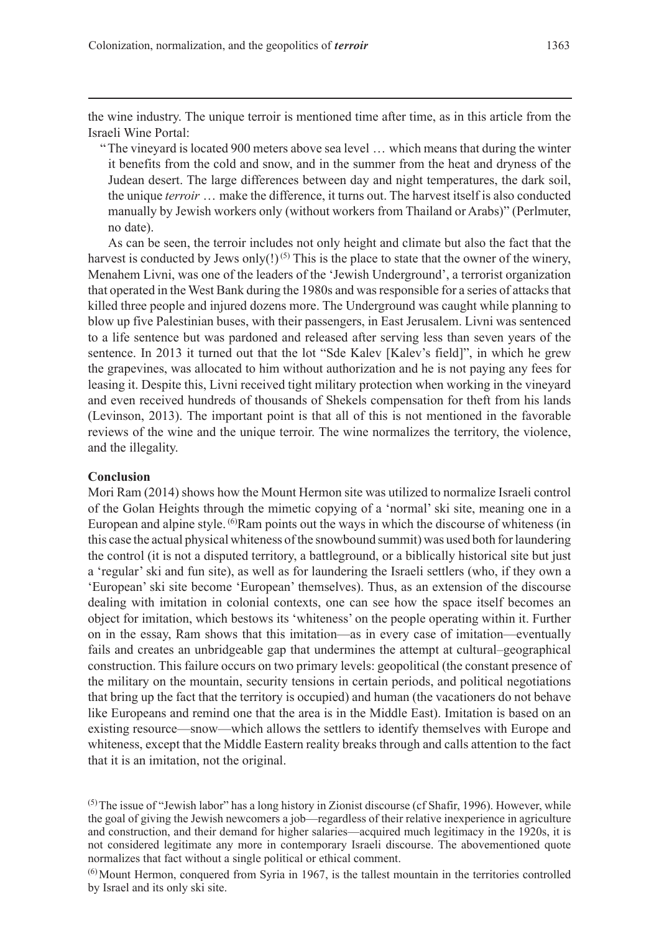the wine industry. The unique terroir is mentioned time after time, as in this article from the Israeli Wine Portal:

"The vineyard is located 900 meters above sea level … which means that during the winter it benefits from the cold and snow, and in the summer from the heat and dryness of the Judean desert. The large differences between day and night temperatures, the dark soil, the unique *terroir* … make the difference, it turns out. The harvest itself is also conducted manually by Jewish workers only (without workers from Thailand or Arabs)" (Perlmuter, no date).

As can be seen, the terroir includes not only height and climate but also the fact that the harvest is conducted by Jews only(!)<sup>(5)</sup> This is the place to state that the owner of the winery, Menahem Livni, was one of the leaders of the 'Jewish Underground', a terrorist organization that operated in the West Bank during the 1980s and was responsible for a series of attacks that killed three people and injured dozens more. The Underground was caught while planning to blow up five Palestinian buses, with their passengers, in East Jerusalem. Livni was sentenced to a life sentence but was pardoned and released after serving less than seven years of the sentence. In 2013 it turned out that the lot "Sde Kalev [Kalev's field]", in which he grew the grapevines, was allocated to him without authorization and he is not paying any fees for leasing it. Despite this, Livni received tight military protection when working in the vineyard and even received hundreds of thousands of Shekels compensation for theft from his lands (Levinson, 2013). The important point is that all of this is not mentioned in the favorable reviews of the wine and the unique terroir. The wine normalizes the territory, the violence, and the illegality.

#### **Conclusion**

Mori Ram (2014) shows how the Mount Hermon site was utilized to normalize Israeli control of the Golan Heights through the mimetic copying of a 'normal' ski site, meaning one in a European and alpine style. <sup>(6)</sup>Ram points out the ways in which the discourse of whiteness (in this case the actual physical whiteness of the snowbound summit) was used both for laundering the control (it is not a disputed territory, a battleground, or a biblically historical site but just a 'regular' ski and fun site), as well as for laundering the Israeli settlers (who, if they own a 'European' ski site become 'European' themselves). Thus, as an extension of the discourse dealing with imitation in colonial contexts, one can see how the space itself becomes an object for imitation, which bestows its 'whiteness' on the people operating within it. Further on in the essay, Ram shows that this imitation—as in every case of imitation—eventually fails and creates an unbridgeable gap that undermines the attempt at cultural–geographical construction. This failure occurs on two primary levels: geopolitical (the constant presence of the military on the mountain, security tensions in certain periods, and political negotiations that bring up the fact that the territory is occupied) and human (the vacationers do not behave like Europeans and remind one that the area is in the Middle East). Imitation is based on an existing resource—snow—which allows the settlers to identify themselves with Europe and whiteness, except that the Middle Eastern reality breaks through and calls attention to the fact that it is an imitation, not the original.

 $<sup>(5)</sup>$ The issue of "Jewish labor" has a long history in Zionist discourse (cf Shafir, 1996). However, while</sup> the goal of giving the Jewish newcomers a job—regardless of their relative inexperience in agriculture and construction, and their demand for higher salaries—acquired much legitimacy in the 1920s, it is not considered legitimate any more in contemporary Israeli discourse. The abovementioned quote normalizes that fact without a single political or ethical comment.

 $<sup>(6)</sup>$  Mount Hermon, conquered from Syria in 1967, is the tallest mountain in the territories controlled</sup> by Israel and its only ski site.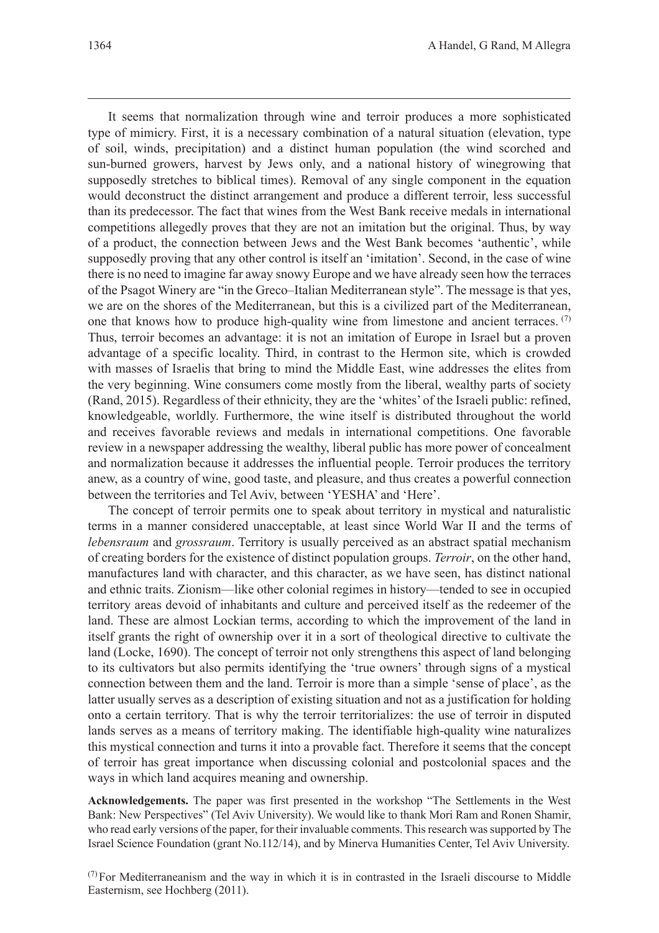It seems that normalization through wine and terroir produces a more sophisticated type of mimicry. First, it is a necessary combination of a natural situation (elevation, type of soil, winds, precipitation) and a distinct human population (the wind scorched and sun-burned growers, harvest by Jews only, and a national history of winegrowing that supposedly stretches to biblical times). Removal of any single component in the equation would deconstruct the distinct arrangement and produce a different terroir, less successful than its predecessor. The fact that wines from the West Bank receive medals in international competitions allegedly proves that they are not an imitation but the original. Thus, by way of a product, the connection between Jews and the West Bank becomes 'authentic', while supposedly proving that any other control is itself an 'imitation'. Second, in the case of wine there is no need to imagine far away snowy Europe and we have already seen how the terraces of the Psagot Winery are "in the Greco–Italian Mediterranean style". The message is that yes, we are on the shores of the Mediterranean, but this is a civilized part of the Mediterranean, one that knows how to produce high-quality wine from limestone and ancient terraces.  $(7)$ Thus, terroir becomes an advantage: it is not an imitation of Europe in Israel but a proven advantage of a specific locality. Third, in contrast to the Hermon site, which is crowded with masses of Israelis that bring to mind the Middle East, wine addresses the elites from the very beginning. Wine consumers come mostly from the liberal, wealthy parts of society (Rand, 2015). Regardless of their ethnicity, they are the 'whites' of the Israeli public: refined, knowledgeable, worldly. Furthermore, the wine itself is distributed throughout the world and receives favorable reviews and medals in international competitions. One favorable review in a newspaper addressing the wealthy, liberal public has more power of concealment and normalization because it addresses the influential people. Terroir produces the territory anew, as a country of wine, good taste, and pleasure, and thus creates a powerful connection between the territories and Tel Aviv, between 'YESHA' and 'Here'.

The concept of terroir permits one to speak about territory in mystical and naturalistic terms in a manner considered unacceptable, at least since World War II and the terms of *lebensraum* and *grossraum*. Territory is usually perceived as an abstract spatial mechanism of creating borders for the existence of distinct population groups. *Terroir*, on the other hand, manufactures land with character, and this character, as we have seen, has distinct national and ethnic traits. Zionism—like other colonial regimes in history—tended to see in occupied territory areas devoid of inhabitants and culture and perceived itself as the redeemer of the land. These are almost Lockian terms, according to which the improvement of the land in itself grants the right of ownership over it in a sort of theological directive to cultivate the land (Locke, 1690). The concept of terroir not only strengthens this aspect of land belonging to its cultivators but also permits identifying the 'true owners' through signs of a mystical connection between them and the land. Terroir is more than a simple 'sense of place', as the latter usually serves as a description of existing situation and not as a justification for holding onto a certain territory. That is why the terroir territorializes: the use of terroir in disputed lands serves as a means of territory making. The identifiable high-quality wine naturalizes this mystical connection and turns it into a provable fact. Therefore it seems that the concept of terroir has great importance when discussing colonial and postcolonial spaces and the ways in which land acquires meaning and ownership.

**Acknowledgements.** The paper was first presented in the workshop "The Settlements in the West Bank: New Perspectives" (Tel Aviv University). We would like to thank Mori Ram and Ronen Shamir, who read early versions of the paper, for their invaluable comments. This research was supported by The Israel Science Foundation (grant No.112/14), and by Minerva Humanities Center, Tel Aviv University.

 $(7)$  For Mediterraneanism and the way in which it is in contrasted in the Israeli discourse to Middle Easternism, see Hochberg (2011).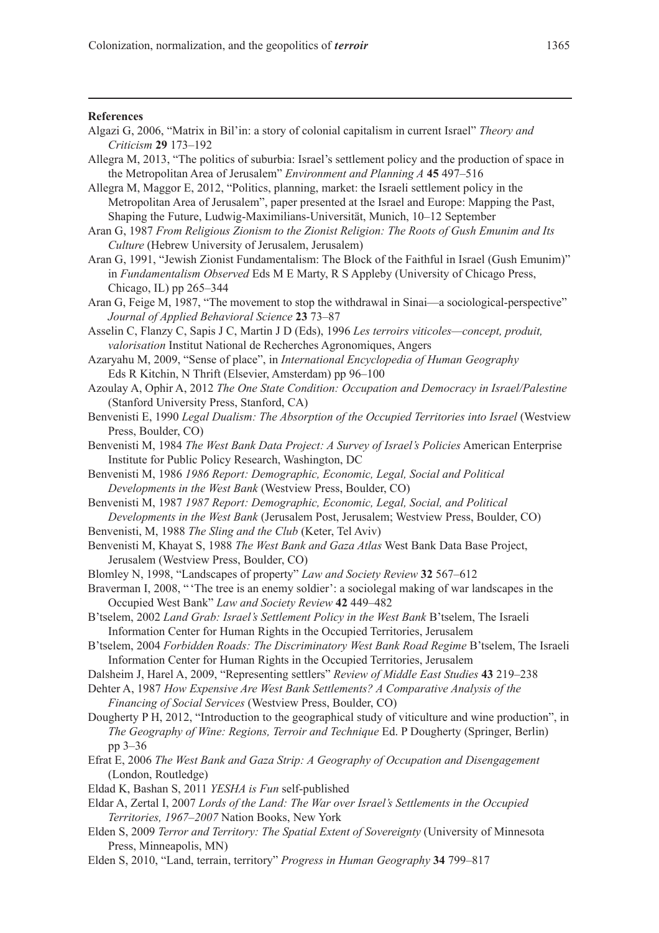#### **References**

- Algazi G, 2006, "Matrix in Bil'in: a story of colonial capitalism in current Israel" *Theory and Criticism* **29** 173–192
- Allegra M, 2013, "The politics of suburbia: Israel's settlement policy and the production of space in the Metropolitan Area of Jerusalem" *Environment and Planning A* **45** 497–516
- Allegra M, Maggor E, 2012, "Politics, planning, market: the Israeli settlement policy in the Metropolitan Area of Jerusalem", paper presented at the Israel and Europe: Mapping the Past, Shaping the Future, Ludwig-Maximilians-Universität, Munich, 10–12 September
- Aran G, 1987 *From Religious Zionism to the Zionist Religion: The Roots of Gush Emunim and Its Culture* (Hebrew University of Jerusalem, Jerusalem)
- Aran G, 1991, "Jewish Zionist Fundamentalism: The Block of the Faithful in Israel (Gush Emunim)" in *Fundamentalism Observed* Eds M E Marty, R S Appleby (University of Chicago Press, Chicago, IL) pp 265–344
- Aran G, Feige M, 1987, "The movement to stop the withdrawal in Sinai—a sociological-perspective" *Journal of Applied Behavioral Science* **23** 73–87
- Asselin C, Flanzy C, Sapis J C, Martin J D (Eds), 1996 *Les terroirs viticoles—concept, produit, valorisation* Institut National de Recherches Agronomiques, Angers
- Azaryahu M, 2009, "Sense of place", in *International Encyclopedia of Human Geography* Eds R Kitchin, N Thrift (Elsevier, Amsterdam) pp 96–100
- Azoulay A, Ophir A, 2012 *The One State Condition: Occupation and Democracy in Israel/Palestine* (Stanford University Press, Stanford, CA)
- Benvenisti E, 1990 *Legal Dualism: The Absorption of the Occupied Territories into Israel* (Westview Press, Boulder, CO)
- Benvenisti M, 1984 *The West Bank Data Project: A Survey of Israel's Policies* American Enterprise Institute for Public Policy Research, Washington, DC
- Benvenisti M, 1986 *1986 Report: Demographic, Economic, Legal, Social and Political Developments in the West Bank* (Westview Press, Boulder, CO)
- Benvenisti M, 1987 *1987 Report: Demographic, Economic, Legal, Social, and Political Developments in the West Bank* (Jerusalem Post, Jerusalem; Westview Press, Boulder, CO)
- Benvenisti, M, 1988 *The Sling and the Club* (Keter, Tel Aviv)
- Benvenisti M, Khayat S, 1988 *The West Bank and Gaza Atlas* West Bank Data Base Project, Jerusalem (Westview Press, Boulder, CO)
- Blomley N, 1998, "Landscapes of property" *Law and Society Review* **32** 567–612
- Braverman I, 2008, " 'The tree is an enemy soldier': a sociolegal making of war landscapes in the Occupied West Bank" *Law and Society Review* **42** 449–482
- B'tselem, 2002 *Land Grab: Israel's Settlement Policy in the West Bank* B'tselem, The Israeli Information Center for Human Rights in the Occupied Territories, Jerusalem
- B'tselem, 2004 *Forbidden Roads: The Discriminatory West Bank Road Regime* B'tselem, The Israeli Information Center for Human Rights in the Occupied Territories, Jerusalem
- Dalsheim J, Harel A, 2009, "Representing settlers" *Review of Middle East Studies* **43** 219–238
- Dehter A, 1987 *How Expensive Are West Bank Settlements? A Comparative Analysis of the Financing of Social Services* (Westview Press, Boulder, CO)
- Dougherty P H, 2012, "Introduction to the geographical study of viticulture and wine production", in *The Geography of Wine: Regions, Terroir and Technique* Ed. P Dougherty (Springer, Berlin) pp 3–36
- Efrat E, 2006 *The West Bank and Gaza Strip: A Geography of Occupation and Disengagement* (London, Routledge)
- Eldad K, Bashan S, 2011 *YESHA is Fun* self-published
- Eldar A, Zertal I, 2007 *Lords of the Land: The War over Israel's Settlements in the Occupied Territories, 1967–2007* Nation Books, New York
- Elden S, 2009 *Terror and Territory: The Spatial Extent of Sovereignty* (University of Minnesota Press, Minneapolis, MN)
- Elden S, 2010, "Land, terrain, territory" *Progress in Human Geography* **34** 799–817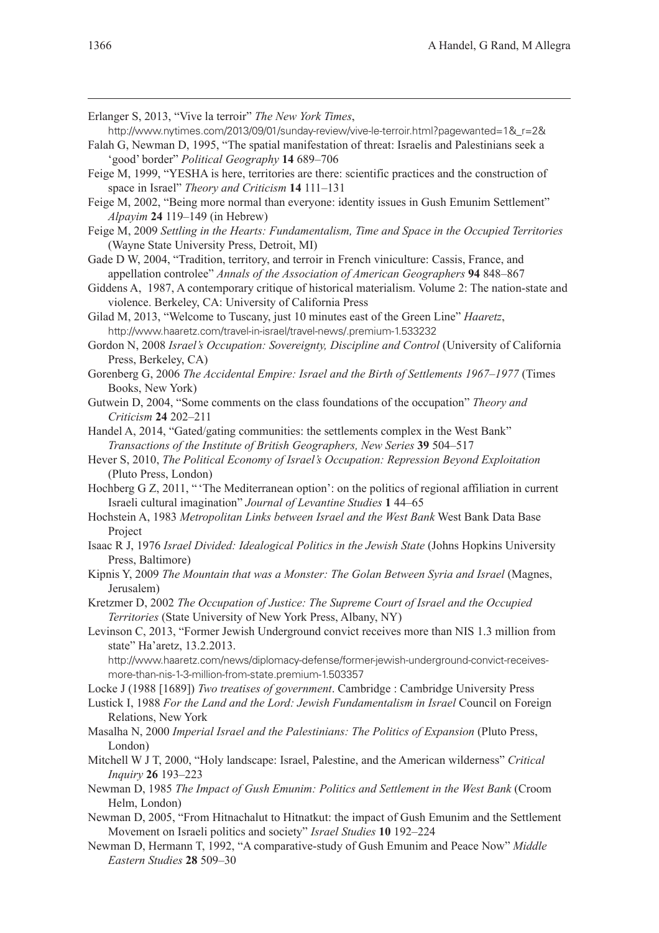- Erlanger S, 2013, "Vive la terroir" *The New York Times*,
- http://www.nytimes.com/2013/09/01/sunday-review/vive-le-terroir.html?pagewanted=1&\_r=2&
- Falah G, Newman D, 1995, "The spatial manifestation of threat: Israelis and Palestinians seek a 'good' border" *Political Geography* **14** 689–706
- Feige M, 1999, "YESHA is here, territories are there: scientific practices and the construction of space in Israel" *Theory and Criticism* **14** 111–131
- Feige M, 2002, "Being more normal than everyone: identity issues in Gush Emunim Settlement" *Alpayim* **24** 119–149 (in Hebrew)
- Feige M, 2009 *Settling in the Hearts: Fundamentalism, Time and Space in the Occupied Territories* (Wayne State University Press, Detroit, MI)
- Gade D W, 2004, "Tradition, territory, and terroir in French viniculture: Cassis, France, and appellation controlee" *Annals of the Association of American Geographers* **94** 848–867
- Giddens A, 1987, A contemporary critique of historical materialism. Volume 2: The nation-state and violence. Berkeley, CA: University of California Press
- Gilad M, 2013, "Welcome to Tuscany, just 10 minutes east of the Green Line" *Haaretz*, http://www.haaretz.com/travel-in-israel/travel-news/.premium-1.533232
- Gordon N, 2008 *Israel's Occupation: Sovereignty, Discipline and Control* (University of California Press, Berkeley, CA)
- Gorenberg G, 2006 *The Accidental Empire: Israel and the Birth of Settlements 1967–1977* (Times Books, New York)
- Gutwein D, 2004, "Some comments on the class foundations of the occupation" *Theory and Criticism* **24** 202–211
- Handel A, 2014, "Gated/gating communities: the settlements complex in the West Bank" *Transactions of the Institute of British Geographers, New Series* **39** 504–517
- Hever S, 2010, *The Political Economy of Israel's Occupation: Repression Beyond Exploitation* (Pluto Press, London)
- Hochberg G Z, 2011, "The Mediterranean option': on the politics of regional affiliation in current Israeli cultural imagination" *Journal of Levantine Studies* **1** 44–65
- Hochstein A, 1983 *Metropolitan Links between Israel and the West Bank* West Bank Data Base Project
- Isaac R J, 1976 *Israel Divided: Idealogical Politics in the Jewish State* (Johns Hopkins University Press, Baltimore)
- Kipnis Y, 2009 *The Mountain that was a Monster: The Golan Between Syria and Israel* (Magnes, Jerusalem)
- Kretzmer D, 2002 *The Occupation of Justice: The Supreme Court of Israel and the Occupied Territories* (State University of New York Press, Albany, NY)
- Levinson C, 2013, "Former Jewish Underground convict receives more than NIS 1.3 million from state" Ha'aretz, 13.2.2013.
	- http://www.haaretz.com/news/diplomacy-defense/former-jewish-underground-convict-receivesmore-than-nis-1-3-million-from-state.premium-1.503357
- Locke J (1988 [1689]) *Two treatises of government*. Cambridge : Cambridge University Press
- Lustick I, 1988 *For the Land and the Lord: Jewish Fundamentalism in Israel* Council on Foreign Relations, New York
- Masalha N, 2000 *Imperial Israel and the Palestinians: The Politics of Expansion* (Pluto Press, London)
- Mitchell W J T, 2000, "Holy landscape: Israel, Palestine, and the American wilderness" *Critical Inquiry* **26** 193–223
- Newman D, 1985 *The Impact of Gush Emunim: Politics and Settlement in the West Bank* (Croom Helm, London)
- Newman D, 2005, "From Hitnachalut to Hitnatkut: the impact of Gush Emunim and the Settlement Movement on Israeli politics and society" *Israel Studies* **10** 192–224
- Newman D, Hermann T, 1992, "A comparative-study of Gush Emunim and Peace Now" *Middle Eastern Studies* **28** 509–30